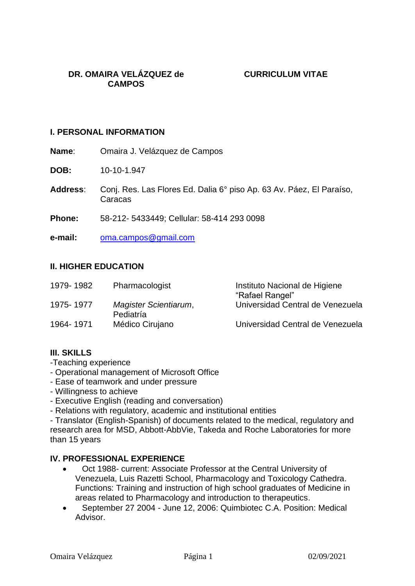#### **I. PERSONAL INFORMATION**

**Name**: Omaira J. Velázquez de Campos

**DOB:** 10-10-1.947

**Address**: Conj. Res. Las Flores Ed. Dalia 6° piso Ap. 63 Av. Páez, El Paraíso, Caracas

**Phone:** 58-212- 5433449; Cellular: 58-414 293 0098

**e-mail:** [oma.campos@gmail.com](mailto:oma.campos@gmail.com)

### **II. HIGHER EDUCATION**

| 1979-1982  | Pharmacologist                     | Instituto Nacional de Higiene<br>"Rafael Rangel" |
|------------|------------------------------------|--------------------------------------------------|
| 1975- 1977 | Magister Scientiarum,<br>Pediatría | Universidad Central de Venezuela                 |
| 1964-1971  | Médico Cirujano                    | Universidad Central de Venezuela                 |

### **III. SKILLS**

- -Teaching experience
- Operational management of Microsoft Office
- Ease of teamwork and under pressure
- Willingness to achieve
- Executive English (reading and conversation)
- Relations with regulatory, academic and institutional entities

- Translator (English-Spanish) of documents related to the medical, regulatory and research area for MSD, Abbott-AbbVie, Takeda and Roche Laboratories for more than 15 years

### **IV. PROFESSIONAL EXPERIENCE**

- Oct 1988- current: Associate Professor at the Central University of Venezuela, Luis Razetti School, Pharmacology and Toxicology Cathedra. Functions: Training and instruction of high school graduates of Medicine in areas related to Pharmacology and introduction to therapeutics.
- September 27 2004 June 12, 2006: Quimbiotec C.A. Position: Medical Advisor.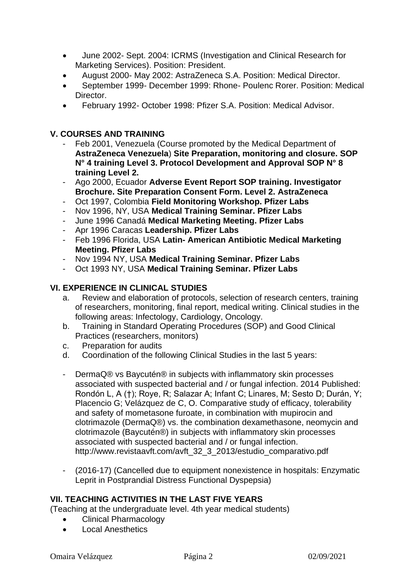- June 2002- Sept. 2004: ICRMS (Investigation and Clinical Research for Marketing Services). Position: President.
- August 2000- May 2002: AstraZeneca S.A. Position: Medical Director.
- September 1999- December 1999: Rhone- Poulenc Rorer. Position: Medical Director.
- February 1992- October 1998: Pfizer S.A. Position: Medical Advisor.

### **V. COURSES AND TRAINING**

- Feb 2001, Venezuela (Course promoted by the Medical Department of **AstraZeneca Venezuela**) **Site Preparation, monitoring and closure. SOP N° 4 training Level 3. Protocol Development and Approval SOP N° 8 training Level 2.**
- Ago 2000, Ecuador **Adverse Event Report SOP training. Investigator Brochure. Site Preparation Consent Form. Level 2. AstraZeneca**
- Oct 1997, Colombia **Field Monitoring Workshop. Pfizer Labs**
- Nov 1996, NY, USA **Medical Training Seminar. Pfizer Labs**
- June 1996 Canadá **Medical Marketing Meeting. Pfizer Labs**
- Apr 1996 Caracas **Leadership. Pfizer Labs**
- Feb 1996 Florida, USA **Latin- American Antibiotic Medical Marketing Meeting. Pfizer Labs**
- Nov 1994 NY, USA **Medical Training Seminar. Pfizer Labs**
- Oct 1993 NY, USA **Medical Training Seminar. Pfizer Labs**

# **VI. EXPERIENCE IN CLINICAL STUDIES**

- a. Review and elaboration of protocols, selection of research centers, training of researchers, monitoring, final report, medical writing. Clinical studies in the following areas: Infectology, Cardiology, Oncology.
- b. Training in Standard Operating Procedures (SOP) and Good Clinical Practices (researchers, monitors)
- c. Preparation for audits
- d. Coordination of the following Clinical Studies in the last 5 years:
- DermaQ® vs Baycutén® in subjects with inflammatory skin processes associated with suspected bacterial and / or fungal infection. 2014 Published: Rondón L, A (†); Roye, R; Salazar A; Infant C; Linares, M; Sesto D; Durán, Y; Placencio G; Velázquez de C, O. Comparative study of efficacy, tolerability and safety of mometasone furoate, in combination with mupirocin and clotrimazole (DermaQ®) vs. the combination dexamethasone, neomycin and clotrimazole (Baycutén®) in subjects with inflammatory skin processes associated with suspected bacterial and / or fungal infection. http://www.revistaavft.com/avft\_32\_3\_2013/estudio\_comparativo.pdf
- (2016-17) (Cancelled due to equipment nonexistence in hospitals: Enzymatic Leprit in Postprandial Distress Functional Dyspepsia)

# **VII. TEACHING ACTIVITIES IN THE LAST FIVE YEARS**

(Teaching at the undergraduate level. 4th year medical students)

- Clinical Pharmacology
- Local Anesthetics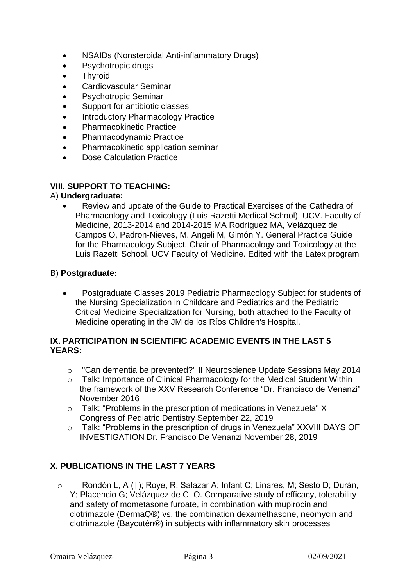- NSAIDs (Nonsteroidal Anti-inflammatory Drugs)
- Psychotropic drugs
- Thyroid
- Cardiovascular Seminar
- Psychotropic Seminar
- Support for antibiotic classes
- **Introductory Pharmacology Practice**
- Pharmacokinetic Practice
- Pharmacodynamic Practice
- Pharmacokinetic application seminar
- Dose Calculation Practice

### **VIII. SUPPORT TO TEACHING:**

### A) **Undergraduate:**

• Review and update of the Guide to Practical Exercises of the Cathedra of Pharmacology and Toxicology (Luis Razetti Medical School). UCV. Faculty of Medicine, 2013-2014 and 2014-2015 MA Rodríguez MA, Velázquez de Campos O, Padron-Nieves, M. Angeli M, Gimón Y. General Practice Guide for the Pharmacology Subject. Chair of Pharmacology and Toxicology at the Luis Razetti School. UCV Faculty of Medicine. Edited with the Latex program

### B) **Postgraduate:**

• Postgraduate Classes 2019 Pediatric Pharmacology Subject for students of the Nursing Specialization in Childcare and Pediatrics and the Pediatric Critical Medicine Specialization for Nursing, both attached to the Faculty of Medicine operating in the JM de los Ríos Children's Hospital.

### **IX. PARTICIPATION IN SCIENTIFIC ACADEMIC EVENTS IN THE LAST 5 YEARS:**

- o "Can dementia be prevented?" II Neuroscience Update Sessions May 2014
- o Talk: Importance of Clinical Pharmacology for the Medical Student Within the framework of the XXV Research Conference "Dr. Francisco de Venanzi" November 2016
- o Talk: "Problems in the prescription of medications in Venezuela" X Congress of Pediatric Dentistry September 22, 2019
- o Talk: "Problems in the prescription of drugs in Venezuela" XXVIII DAYS OF INVESTIGATION Dr. Francisco De Venanzi November 28, 2019

### **X. PUBLICATIONS IN THE LAST 7 YEARS**

o Rondón L, A (†); Roye, R; Salazar A; Infant C; Linares, M; Sesto D; Durán, Y; Placencio G; Velázquez de C, O. Comparative study of efficacy, tolerability and safety of mometasone furoate, in combination with mupirocin and clotrimazole (DermaQ®) vs. the combination dexamethasone, neomycin and clotrimazole (Baycutén®) in subjects with inflammatory skin processes